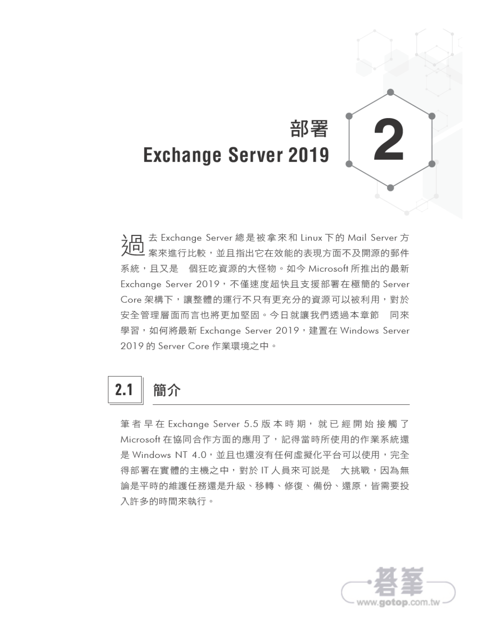

案來進行比較,並且指出它在效能的表現方面不及開源的郵件 系統, 且又是 個狂吃資源的大怪物。如今 Microsoft 所推出的最新 Exchange Server 2019, 不僅速度超快且支援部署在極簡的 Server Core 架構下,讓整體的運行不只有更充分的資源可以被利用,對於 安全管理層面而言也將更加堅固。今日就讓我們透過本章節 同來 學習, 如何將最新 Exchange Server 2019, 建置在 Windows Server 2019 的 Server Core 作業環境之中。

**Exchange Server 2019** 

部署

### 簡介  $2.1$

筆者早在 Exchange Server 5.5 版本時期, 就已經開始接觸了 Microsoft 在協同合作方面的應用了,記得當時所使用的作業系統還 是 Windows NT 4.0,並且也還沒有任何虛擬化平台可以使用,完全 得部署在實體的主機之中,對於IT人員來可説是 大挑戰,因為無 論是平時的維護任務還是升級、移轉、修復、備份、還原,皆需要投 入許多的時間來執行。

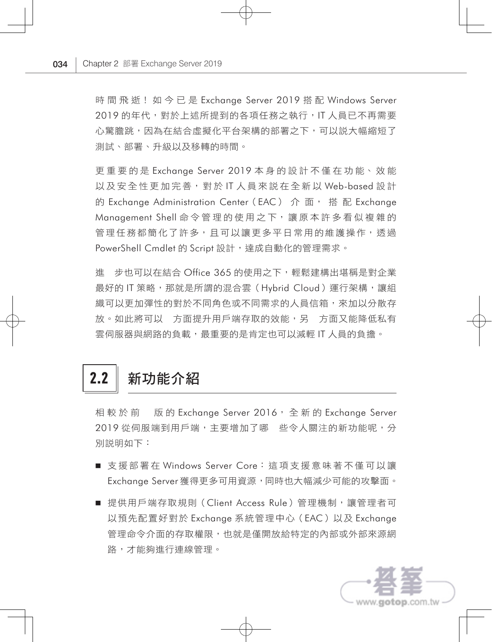時 間 飛 逝! 如 今 已 是 Exchange Server 2019 搭 配 Windows Server 2019 的年代,對於上述所提到的各項任務之執行,IT 人員已不再需要 心驚膽跳,因為在結合虛擬化平台架構的部署之下,可以説大幅縮短了 測試、部署、升級以及移轉的時間。

更 重 要 的 是 Exchange Server 2019 本 身 的 設 計 不 僅 在 功 能、 效 能 以 及 安 全 性 更 加 完 善, 對 於 IT 人 員 來 說 在 全 新 以 Web-based 設 計 的 Exchange Administration Center (EAC) 介 面, 搭 配 Exchange Management Shell 命令管理的使用之下, 讓原本許多看似複雜的 管理任務都簡化了許多,目可以讓更多平日常用的維護操作,透過 PowerShell Cmdlet 的 Script 設計,達成自動化的管理需求。

進 步也可以在結合 Office 365 的使用之下,輕鬆建構出堪稱是對企業 最好的 IT 策略,那就是所謂的混合雲 (Hybrid Cloud) 運行架構,讓組 織可以更加彈性的對於不同角色或不同需求的人員信箱,來加以分散存 放。如此將可以 方面提升用戶端存取的效能,另 方面又能降低私有 雲伺服器與網路的負載,最重要的是肯定也可以減輕 IT 人員的負擔。

## 2.2 新功能介紹

相較於前 版的 Exchange Server 2016, 全新的 Exchange Server 2019 從伺服端到用戶端,主要增加了哪 些令人關注的新功能呢,分 別說明如下:

- 支援部署在 Windows Server Core: 這項支援意味著不僅可以讓 Exchange Server 獲得更多可用資源,同時也大幅減少可能的攻擊面。
- 提供用戶端存取規則(Client Access Rule)管理機制,讓管理者可 以預先配置好對於 Exchange 系統管理中心(EAC)以及 Exchange 管理命令介面的存取權限,也就是僅開放給特定的內部或外部來源網 路,才能夠進行連線管理。

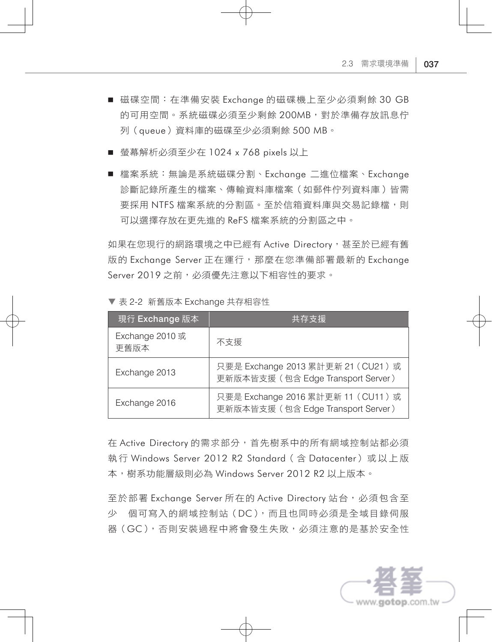- 磁碟空間:在準備安裝 Exchange 的磁碟機上至少必須剩餘 30 GB 的可用空間。系統磁碟必須至少剩餘 200MB,對於準備存放訊息佇 列(queue)資料庫的磁碟至少必須剩餘 500 MB。
- 螢幕解析必須至少在 1024 x 768 pixels 以上
- 檔案系統:無論是系統磁碟分割、Exchange 二進位檔案、Exchange 診斷記錄所產生的檔案、傳輸資料庫檔案(如郵件佇列資料庫)皆需 要採用 NTFS 檔案系統的分割區。至於信箱資料庫與交易記錄檔,則 可以選擇存放在更先進的 ReFS 檔案系統的分割區之中。

如果在您現行的網路環境之中已經有 Active Directory,甚至於已經有舊 版的 Exchange Server 正在運行,那麼在您準備部署最新的 Exchange Server 2019 之前,必須優先注意以下相容性的要求。

| 現行 Exchange 版本          | 共存支援                                                                     |
|-------------------------|--------------------------------------------------------------------------|
| Exchange 2010 或<br>更舊版本 | 不支援                                                                      |
| Exchange 2013           | 只要是 Exchange 2013 累計更新 21 (CU21) 或<br>更新版本皆支援 (包含 Edge Transport Server) |
| Exchange 2016           | 只要是 Exchange 2016 累計更新 11 (CU11) 或<br>更新版本皆支援 (包含 Edge Transport Server) |

▼ 表 2-2 新舊版本 Exchange 共存相容性

在 Active Directory 的需求部分,首先樹系中的所有網域控制站都必須 執 行 Windows Server 2012 R2 Standard( 含 Datacenter) 或 以 上 版 本,樹系功能層級則必為 Windows Server 2012 R2 以上版本。

至於部署 Exchange Server 所在的 Active Directory 站台,必須包含至 少 個可寫入的網域控制站(DC),而且也同時必須是全域目錄伺服 器(GC),否則安裝過程中將會發生失敗,必須注意的是基於安全性

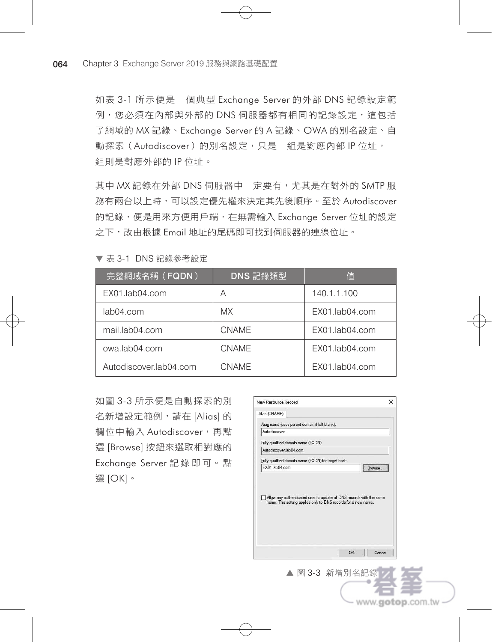如表 3-1 所示便是 個典型 Exchange Server 的外部 DNS 記錄設定範 例,您必須在內部與外部的 DNS 伺服器都有相同的記錄設定,這包括 了網域的 MX 記錄、Exchange Server 的 A 記錄、OWA 的別名設定、自 動探索(Autodiscover)的別名設定,只是 組是對應內部 IP 位址, 組則是對應外部的 IP 位址。

其中 MX 記錄在外部 DNS 伺服器中 定要有,尤其是在對外的 SMTP 服 務有兩台以上時,可以設定優先權來決定其先後順序。至於 Autodiscover 的記錄,便是用來方便用戶端,在無需輸入 Exchange Server 位址的設定 之下,改由根據 Email 地址的尾碼即可找到伺服器的連線位址。

| 完整網域名稱(FQDN)           | DNS 記錄類型     | 值              |
|------------------------|--------------|----------------|
| EX01.lab04.com         | А            | 140.1.1.100    |
| lab04.com              | MX.          | EX01.lab04.com |
| mail.lab04.com         | <b>CNAME</b> | EX01.lab04.com |
| owa.lab04.com          | <b>CNAMF</b> | EX01.lab04.com |
| Autodiscover.lab04.com | <b>CNAMF</b> | EX01.lab04.com |

▼ 表 3-1 DNS 記錄參考設定

如圖 3-3 所示便是自動探索的別 名新增設定範例,請在 [Alias] 的 欄位中輸入 Autodiscover,再點 選 [Browse] 按鈕來選取相對應的 Exchange Server 記 錄 即 可。 點 選 [OK]。



www.gotop.com.tw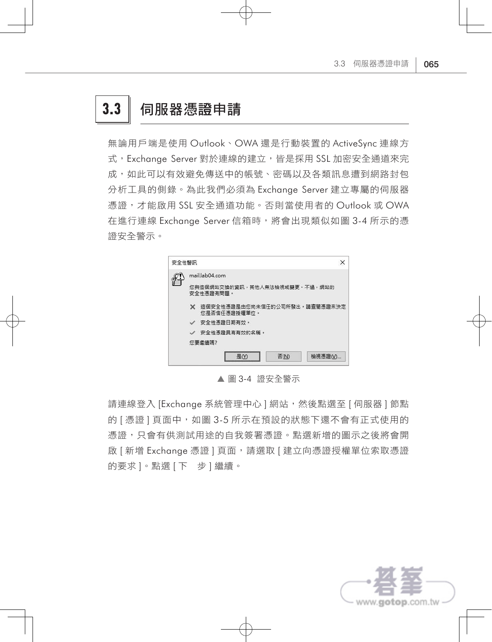## 3.3 同服器憑證申請

無論用戶端是使用 Outlook、OWA 還是行動裝置的 ActiveSync 連線方 式, Exchange Server 對於連線的建立, 皆是採用 SSL 加密安全通道來完 成,如此可以有效避免傳送中的帳號、密碼以及各類訊息遭到網路封包 分析工具的側錄。為此我們必須為 Exchange Server 建立專屬的伺服器 憑證,才能啟用 SSL 安全通道功能。否則當使用者的 Outlook 或 OWA 在進行連線 Exchange Server 信箱時,將會出現類似如圖 3-4 所示的憑 證安全警示。



▲ 圖 3-4 證安全警示

請連線登入 [Exchange 系統管理中心 ] 網站,然後點選至 [ 伺服器 ] 節點 的 [ 憑證 ] 頁面中,如圖 3-5 所示在預設的狀態下還不會有正式使用的 憑證,只會有供測試用途的自我簽署憑證。點選新增的圖示之後將會開 啟 [ 新增 Exchange 憑證 ] 頁面,請選取 [ 建立向憑證授權單位索取憑證 的要求 ]。點選 [ 下 步 ] 繼續。

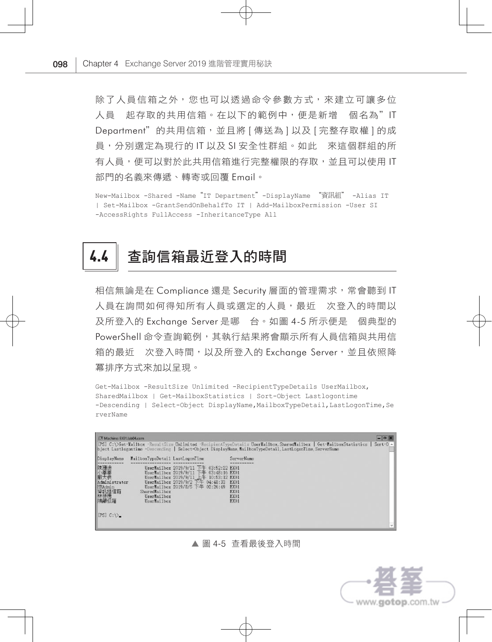除了人員信箱之外,您也可以透過命令參數方式,來建立可讓多位 人員 起存取的共用信箱。在以下的範例中,便是新增 個名為"IT Department"的共用信箱,並且將 [ 傳送為 ] 以及 [ 完整存取權 ] 的成 員,分別選定為現行的 IT 以及 SI 安全性群組。如此 來這個群組的所 有人員,便可以對於此共用信箱進行完整權限的存取,並且可以使用 IT 部門的名義來傳遞、轉寄或回覆 Email。

New-Mailbox -Shared -Name"IT Department"-DisplayName "資訊組" -Alias IT | Set-Mailbox -GrantSendOnBehalfTo IT | Add-MailboxPermission -User SI -AccessRights FullAccess -InheritanceType All

# 4.4 查詢信箱最近登入的時間

相信無論是在 Compliance 還是 Security 層面的管理需求, 常會聽到 IT 人員在詢問如何得知所有人員或選定的人員,最近 次登入的時間以 及所登入的 Exchange Server 是哪 台。如圖 4-5 所示便是 個典型的 PowerShell 命令查詢範例,其執行結果將會顯示所有人員信箱與共用信 箱的最近 次登入時間,以及所登入的 Exchange Server,並且依照降 冪排序方式來加以呈現。

Get-Mailbox -ResultSize Unlimited -RecipientTypeDetails UserMailbox, SharedMailbox | Get-MailboxStatistics | Sort-Object Lastlogontime -Descending | Select-Object DisplayName, MailboxTypeDetail, LastLogonTime, Se rverName

| Machine: EXD1.Iab04.com                                                      |                                                                                |                                                                                                                                                                                                    | [PS] C:\>Get-Mailbox -ResultSize Unlimited -RecipientTypeDetails UserMailbox.SharedMailbox   Get-MailboxStatistics   Sort-O <<br>bject Lastlogontime -Descending   Select-Object DisplayMame, MailboxTypeDetail, LastLogonTime, ServerName | E |
|------------------------------------------------------------------------------|--------------------------------------------------------------------------------|----------------------------------------------------------------------------------------------------------------------------------------------------------------------------------------------------|--------------------------------------------------------------------------------------------------------------------------------------------------------------------------------------------------------------------------------------------|---|
| DisplayMams<br>陳珊迪<br>和奉義<br>Administrator<br><b>FRAdmin</b><br>貸計組信箱<br>大法海 | MailboxTypeDetail LastLogonTime<br>SharedMailbox<br>UserMailbox<br>UsarNailbox | UserNailbox 2019/9/11 下午 03:52:22 EX01<br>UsarNailbox 2019/9/11 下午 03:48:16 EX01<br>UserMailbox 2019/9/11 上午 10:53:12 EX01<br>UserMailbox 2019/9/2 下午 04:48:33<br>HaarHailbox 2019/8/5 下午 02:26:49 | ServerName<br>EX01<br>EX01<br>EX <sub>01</sub><br>EX01<br>EX01                                                                                                                                                                             |   |

▲ 圖 4-5 查看最後登入時間

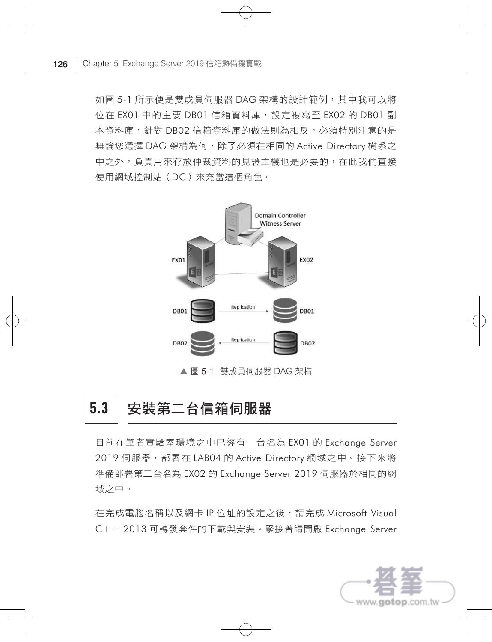如圖 5-1 所示便是雙成員伺服器 DAG 架構的設計範例, 其中我可以將 位在 FX01 中的主要 DB01 信箱資料庫,設定複寫至 FX02 的 DB01 副 本資料庫,針對 DB02 信箱資料庫的做法則為相反。必須特別注意的是 無論您選擇 DAG 架構為何,除了必須在相同的 Active Directory 樹系之 中之外,負責用來存放仲裁資料的見證主機也是必要的,在此我們直接 使用網域控制站(DC)來充當這個角色。



▲ 圖 5-1 雙成員伺服器 DAG 架構

### 5.3 | 安裝第二台信箱伺服器

目前在筆者實驗室環境之中已經有 台名為 EX01 的 Exchange Server 2019 伺服器,部署在 LAB04 的 Active Directory 網域之中。接下來將 準備部署第二台名為 EX02 的 Exchange Server 2019 伺服器於相同的網 域之中。

在完成電腦名稱以及網卡 IP 位址的設定之後,請完成 Microsoft Visual C++ 2013 可轉發套件的下載與安裝。緊接著請開啟 Exchange Server

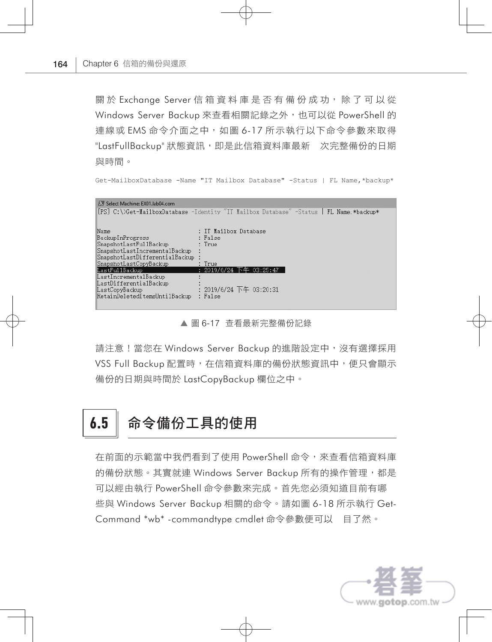關於 Exchange Server 信箱資料庫是否有備份成功,除了可以從 Windows Server Backup 來查看相關記錄之外,也可以從 PowerShell 的 連線或 EMS 命令介面之中, 如圖 6-17 所示執行以下命令參數來取得 "LastFullBackup" 狀態資訊, 即是此信箱資料庫最新 次完整備份的日期 與時間。

Get-MailboxDatabase -Name "IT Mailbox Database" -Status | FL Name,\*backup\*

| Select Machine: EX01.lab04.com                                                                                                                                                                                                                                          |                                                                                                                      |
|-------------------------------------------------------------------------------------------------------------------------------------------------------------------------------------------------------------------------------------------------------------------------|----------------------------------------------------------------------------------------------------------------------|
|                                                                                                                                                                                                                                                                         | [PS] C:\>Get-MailboxDatabase -Identity "IT Mailbox Database" -Status   FL Name,*backup*                              |
| Name<br>BackupInProgress<br>SnapshotLastFul1Backup<br>SnapshotLastIncrementalBackup<br>SnapshotLastDifferentialBackup<br>SnapshotLastCopyBackup<br>LastFul1Backup<br>LastIncrementalBackup<br>LastDifferentialBackup<br>LastCopyBackup<br>RetainDeletedItemsUnti1Backup | : IT Mailbox Database<br>: False<br>T<br>: True<br>: 2019/6/24 下午 03:25:47<br>: 2019/6/24 下午 03:20:31<br>$:$ $False$ |

▲ 圖 6-17 杳看最新完整備份記錄

請注意!當您在 Windows Server Backup 的進階設定中,沒有選擇採用 VSS Full Backup 配置時,在信箱資料庫的備份狀態資訊中,便只會顯示 備份的日期與時間於 LastCopyBackup 欄位之中。

## 6.5 高令備份工具的使用

在前面的示範當中我們看到了使用 PowerShell 命令,來查看信箱資料庫 的備份狀態。其實就連 Windows Server Backup 所有的操作管理,都是 可以經由執行 PowerShell 命令參數來完成。首先您必須知道目前有哪 些與 Windows Server Backup 相關的命令。請如圖 6-18 所示執行 Get-Command \*wb\* -commandtype cmdlet 命令參數便可以 目了然。

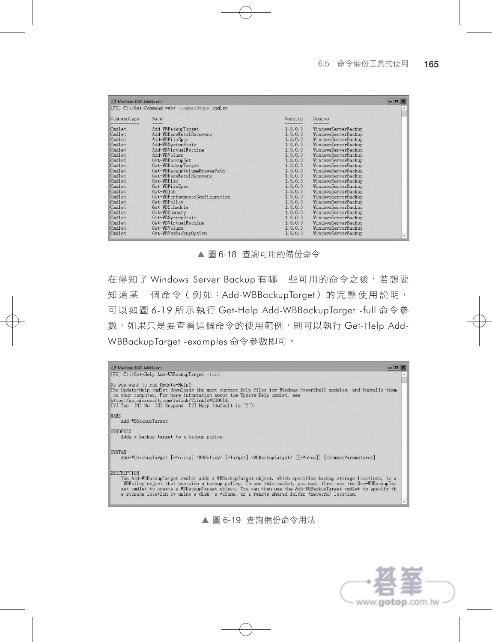| Machine: EX01.lab04.com                                                                                                                                                                                        |                                                                                                                                                                                                                                                                                                                                                                                                                                                          |                                                                                                                                                                                                                                                                                                 |                                                                                                                                                                                                                                                                                                                                                                                                                                                                                                        | $  \times$ |
|----------------------------------------------------------------------------------------------------------------------------------------------------------------------------------------------------------------|----------------------------------------------------------------------------------------------------------------------------------------------------------------------------------------------------------------------------------------------------------------------------------------------------------------------------------------------------------------------------------------------------------------------------------------------------------|-------------------------------------------------------------------------------------------------------------------------------------------------------------------------------------------------------------------------------------------------------------------------------------------------|--------------------------------------------------------------------------------------------------------------------------------------------------------------------------------------------------------------------------------------------------------------------------------------------------------------------------------------------------------------------------------------------------------------------------------------------------------------------------------------------------------|------------|
|                                                                                                                                                                                                                | [PS] C:\>Get-Command *wb* -commandtype endlet                                                                                                                                                                                                                                                                                                                                                                                                            |                                                                                                                                                                                                                                                                                                 |                                                                                                                                                                                                                                                                                                                                                                                                                                                                                                        | ٨          |
| CommandType                                                                                                                                                                                                    | Name                                                                                                                                                                                                                                                                                                                                                                                                                                                     | Version<br>--------                                                                                                                                                                                                                                                                             | Source                                                                                                                                                                                                                                                                                                                                                                                                                                                                                                 |            |
| Cmdlet<br>Cmdlet<br>Cmdlet<br>Cmdlet<br>Cmdlet<br>Cmdlet<br>Cmdlet<br>Cmdlet<br>Cmdlet<br>Cmdlet<br>Cmdlet<br>Cmdlet<br>Cmdlet<br>Cmdlet<br>Cmdlet<br>Cmdlet<br>Cmdlet<br>Cmdlet<br>Cmdlet<br>Cmdlet<br>Cmdlet | Add-VBBackupTarget<br>Add-VEBareNetalRecovery<br>Add-VBFileSpec<br>Add-VBSystemState<br>Add-VBVirtualMachine<br>Add-VBVolume<br>Get-VBBackupSet<br>Get-VBBackupTarget<br>Get-VBBackupVolumeBrowsePath<br>Get-VBBareMetalRecovery<br>Get-VBDisk<br>Get-VBFileSpec<br>Gat-VBIob<br>Get-VBPerformanceConfiguration<br>Get-VBPolicy<br>Get-VBSchedule<br>Get-VBSummary<br>Get-VBSystemState<br>Get-VBVirtualMachine<br>Get-VBVolume<br>Get-VBVssBackupOption | 1, 0, 0, 0<br>1, 0, 0, 0<br>1, 0, 0, 0<br>1, 0, 0, 0<br>1, 0, 0, 0<br>1, 0, 0, 0<br>1, 0, 0, 0<br>1, 0, 0, 0<br>1, 0, 0, 0<br>1, 0, 0, 0<br>1, 0, 0, 0<br>1, 0, 0, 0<br>1, 0, 0, 0<br>1, 0, 0, 0<br>1, 0, 0, 0<br>1, 0, 0, 0<br>1, 0, 0, 0<br>1, 0, 0, 0<br>1, 0, 0, 0<br>1, 0, 0, 0<br>1.0.0.0 | VindowsServerBackup<br>VindowsServerBackup<br>VindowsServerBackup<br>VindowsServerBackup<br>VindowsServerBackup<br>VindowsServerBackup<br>VindowsServerBackup<br>VindowsServerBackup<br>VindowsServerBackup<br>VindowsServerBackup<br>VindowsServerBackup<br>VindowsServerBackup<br>VindowsServerBackup<br>VindowsServerBackup<br>VindowsServerBackup<br>VindowsServerBackup<br>VindowsServarBackup<br>VindowsServerBackup<br>VindowsServerBackup<br><b>VindowsServerBackup</b><br>VindowsServerBackup | $\vee$     |

▲ 圖 6-18 查詢可用的備份命令

在得知了 Windows Server Backup 有哪 些可用的命令之後, 若想要 知道某 個命令 (例如: Add-WBBackupTarget) 的完整使用説明, 可以如圖 6-19 所示執行 Get-Help Add-WBBackupTarget -full 命令參 數, 如果只是要查看這個命令的使用範例,則可以執行 Get-Help Add-WBBackupTarget -examples 命令參數即可。



▲ 圖 6-19 查詢備份命令用法

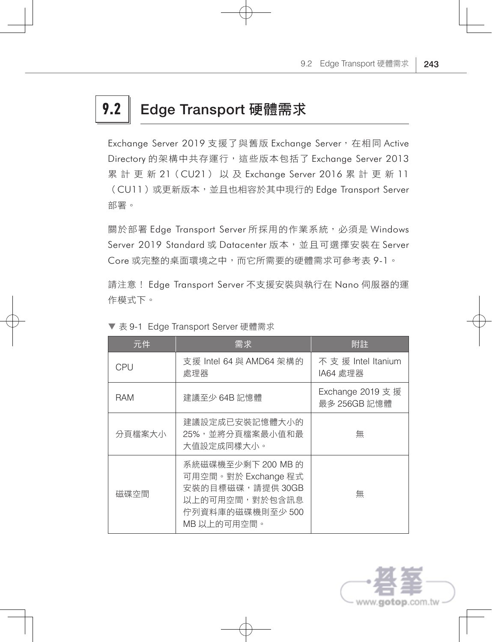# 9.2 Edge Transport 硬體需求

Exchange Server 2019 支援了與舊版 Exchange Server, 在相同 Active Directory 的架構中共存運行,這些版本包括了 Exchange Server 2013 累 計 更 新 21(CU21) 以 及 Exchange Server 2016 累 計 更 新 11 (CU11)或更新版本,並且也相容於其中現行的 Edge Transport Server 部署。

關於部署 Edge Transport Server 所採用的作業系統, 必須是 Windows Server 2019 Standard 或 Datacenter 版本,並且可選擇安裝在 Server Core 或完整的桌面環境之中,而它所需要的硬體需求可參考表 9-1。

請注意! Edge Transport Server 不支援安裝與執行在 Nano 伺服器的運 作模式下。

| 元件         | 需求                                                                                                                 | 附註                               |
|------------|--------------------------------------------------------------------------------------------------------------------|----------------------------------|
| CPU        | 支援 Intel 64 與 AMD64 架構的<br>處理器                                                                                     | 不支援 Intel Itanium<br> A64 處理器    |
| <b>RAM</b> | 建議至少 64B 記憶體                                                                                                       | Exchange 2019 支援<br>最多 256GB 記憶體 |
| 分頁檔案大小     | 建議設定成已安裝記憶體大小的<br>25%,並將分頁檔案最小值和最<br>大值設定成同樣大小。                                                                    | 無                                |
| 磁碟空間       | 系統磁碟機至少剩下 200 MB 的<br>可用空間。對於 Exchange 程式<br>安裝的目標磁碟,請提供 30GB<br>以上的可用空間,對於包含訊息<br>佇列資料庫的磁碟機則至少 500<br>MB 以上的可用空間。 | 無                                |

#### ▼ 表 9-1 Edge Transport Server 硬體需求

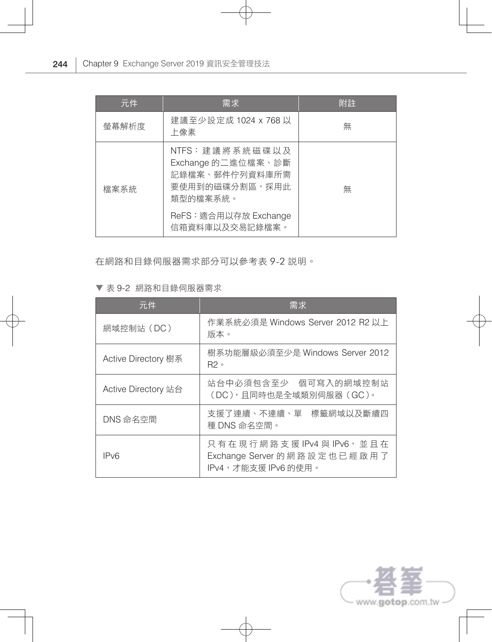| 元件    | 需求                                                                                                            | 附註 |
|-------|---------------------------------------------------------------------------------------------------------------|----|
| 螢幕解析度 | 建議至少設定成 1024 x 768 以<br>上像素                                                                                   | 無  |
| 檔案系統  | NTFS:建議將系統磁碟以及<br>Exchange 的二進位檔案、診斷<br>記錄檔案、郵件佇列資料庫所需<br>要使用到的磁碟分割區,採用此<br>類型的檔案系統。<br>ReFS: 適合用以存放 Exchange | 無  |
|       | 信箱資料庫以及交易記錄檔案。                                                                                                |    |

在網路和目錄伺服器需求部分可以參考表 9-2 說明。

▼ 表 9-2 網路和目錄伺服器需求

| 元件                  | 需求                                                                            |
|---------------------|-------------------------------------------------------------------------------|
| 網域控制站 (DC)          | 作業系統必須是 Windows Server 2012 R2 以上<br>版本。                                      |
| Active Directory 樹系 | 樹系功能層級必須至少是 Windows Server 2012<br>$R2 \circ$                                 |
| Active Directory 站台 | 站台中必須包含至少 個可寫入的網域控制站<br>(DC),且同時也是全域類別伺服器 (GC)。                               |
| DNS 命名空間            | 支援了連續、不連續、單 標籤網域以及斷續四<br>種 DNS 命名空間。                                          |
| IPv6                | 只有在現行網路支援 IPv4與IPv6,並且在<br>Exchange Server 的網路設定也已經啟用了<br>IPv4,才能支援 IPv6 的使用。 |